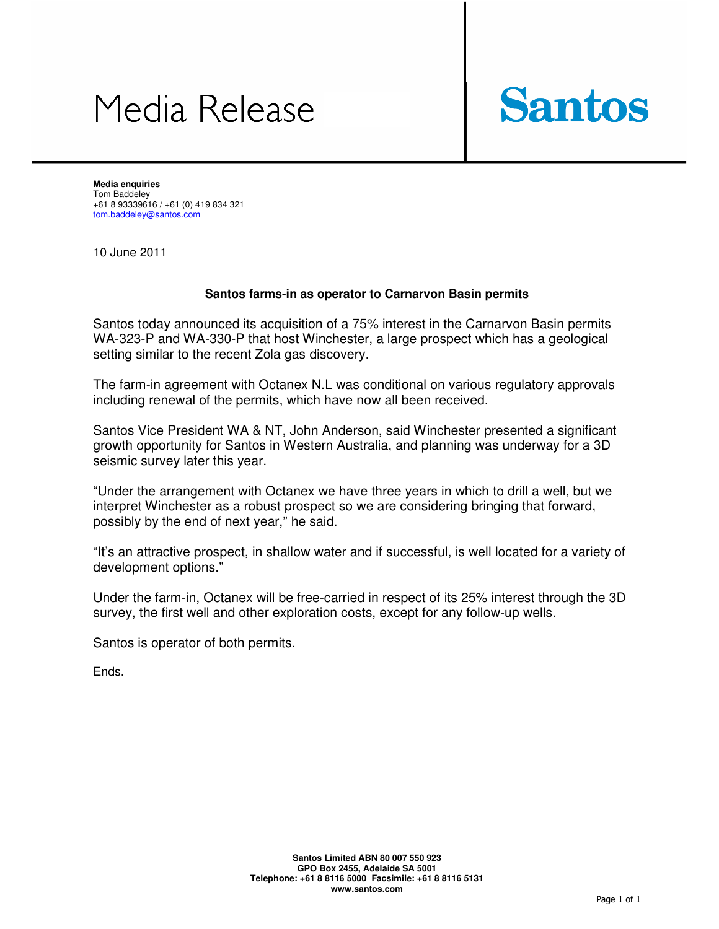## Media Release



**Media enquiries**  Tom Baddeley +61 8 93339616 / +61 (0) 419 834 321 tom.baddeley@santos.com

10 June 2011

## **Santos farms-in as operator to Carnarvon Basin permits**

Santos today announced its acquisition of a 75% interest in the Carnarvon Basin permits WA-323-P and WA-330-P that host Winchester, a large prospect which has a geological setting similar to the recent Zola gas discovery.

The farm-in agreement with Octanex N.L was conditional on various regulatory approvals including renewal of the permits, which have now all been received.

Santos Vice President WA & NT, John Anderson, said Winchester presented a significant growth opportunity for Santos in Western Australia, and planning was underway for a 3D seismic survey later this year.

"Under the arrangement with Octanex we have three years in which to drill a well, but we interpret Winchester as a robust prospect so we are considering bringing that forward, possibly by the end of next year," he said.

"It's an attractive prospect, in shallow water and if successful, is well located for a variety of development options."

Under the farm-in, Octanex will be free-carried in respect of its 25% interest through the 3D survey, the first well and other exploration costs, except for any follow-up wells.

Santos is operator of both permits.

Ends.